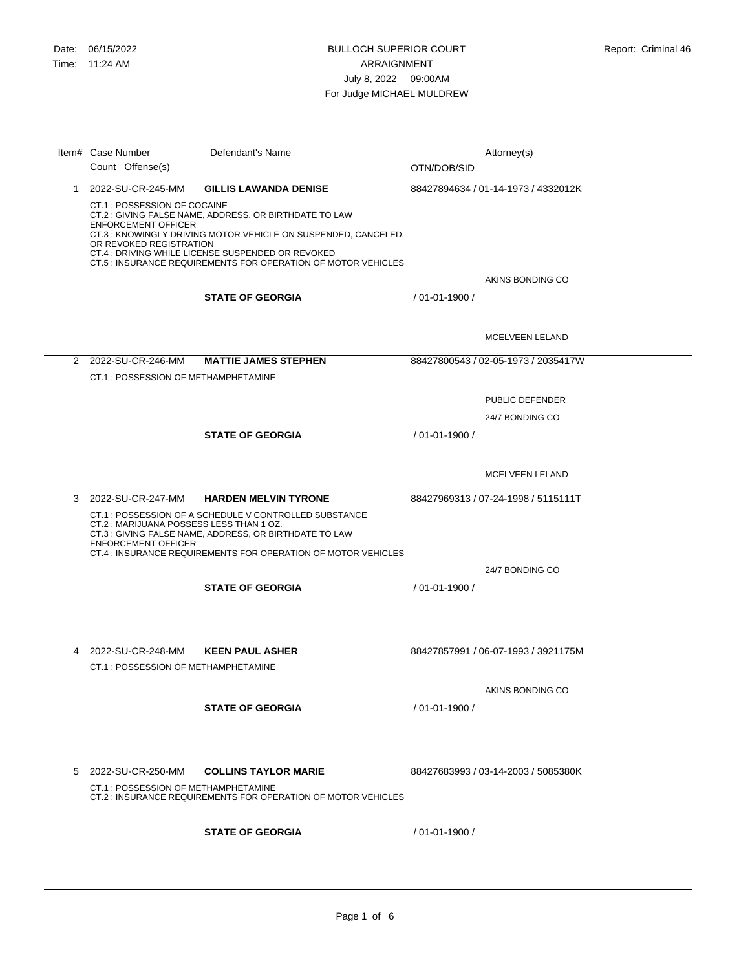## BULLOCH SUPERIOR COURT ARRAIGNMENT July 8, 2022 09:00AM For Judge MICHAEL MULDREW

|   | Item# Case Number<br>Count Offense(s)                                                 | Defendant's Name                                                                                                                                                                 | OTN/DOB/SID    | Attorney(s)                         |
|---|---------------------------------------------------------------------------------------|----------------------------------------------------------------------------------------------------------------------------------------------------------------------------------|----------------|-------------------------------------|
|   | 1 2022-SU-CR-245-MM                                                                   | <b>GILLIS LAWANDA DENISE</b>                                                                                                                                                     |                | 88427894634 / 01-14-1973 / 4332012K |
|   | CT.1 : POSSESSION OF COCAINE<br><b>ENFORCEMENT OFFICER</b><br>OR REVOKED REGISTRATION | CT.2 : GIVING FALSE NAME, ADDRESS, OR BIRTHDATE TO LAW<br>CT.3: KNOWINGLY DRIVING MOTOR VEHICLE ON SUSPENDED, CANCELED,<br>CT.4 : DRIVING WHILE LICENSE SUSPENDED OR REVOKED     |                |                                     |
|   |                                                                                       | CT.5 : INSURANCE REQUIREMENTS FOR OPERATION OF MOTOR VEHICLES                                                                                                                    |                | AKINS BONDING CO                    |
|   |                                                                                       | <b>STATE OF GEORGIA</b>                                                                                                                                                          | / 01-01-1900 / |                                     |
|   |                                                                                       |                                                                                                                                                                                  |                | MCELVEEN LELAND                     |
|   | 2 2022-SU-CR-246-MM                                                                   | <b>MATTIE JAMES STEPHEN</b>                                                                                                                                                      |                | 88427800543 / 02-05-1973 / 2035417W |
|   | CT.1: POSSESSION OF METHAMPHETAMINE                                                   |                                                                                                                                                                                  |                |                                     |
|   |                                                                                       |                                                                                                                                                                                  |                | PUBLIC DEFENDER                     |
|   |                                                                                       |                                                                                                                                                                                  |                | 24/7 BONDING CO                     |
|   |                                                                                       | <b>STATE OF GEORGIA</b>                                                                                                                                                          | / 01-01-1900 / |                                     |
|   |                                                                                       |                                                                                                                                                                                  |                |                                     |
|   |                                                                                       |                                                                                                                                                                                  |                | <b>MCELVEEN LELAND</b>              |
| 3 | 2022-SU-CR-247-MM                                                                     | <b>HARDEN MELVIN TYRONE</b>                                                                                                                                                      |                | 88427969313 / 07-24-1998 / 5115111T |
|   | CT.2: MARIJUANA POSSESS LESS THAN 1 OZ.<br><b>ENFORCEMENT OFFICER</b>                 | CT.1: POSSESSION OF A SCHEDULE V CONTROLLED SUBSTANCE<br>CT.3 : GIVING FALSE NAME, ADDRESS, OR BIRTHDATE TO LAW<br>CT.4 : INSURANCE REQUIREMENTS FOR OPERATION OF MOTOR VEHICLES |                |                                     |
|   |                                                                                       |                                                                                                                                                                                  |                | 24/7 BONDING CO                     |
|   |                                                                                       | <b>STATE OF GEORGIA</b>                                                                                                                                                          | / 01-01-1900 / |                                     |
|   |                                                                                       |                                                                                                                                                                                  |                |                                     |
|   | 4 2022-SU-CR-248-MM<br>CT.1 : POSSESSION OF METHAMPHETAMINE                           | <b>KEEN PAUL ASHER</b>                                                                                                                                                           |                | 88427857991 / 06-07-1993 / 3921175M |
|   |                                                                                       |                                                                                                                                                                                  |                | AKINS BONDING CO                    |
|   |                                                                                       | <b>STATE OF GEORGIA</b>                                                                                                                                                          | / 01-01-1900 / |                                     |
|   |                                                                                       |                                                                                                                                                                                  |                |                                     |
| 5 | 2022-SU-CR-250-MM                                                                     | <b>COLLINS TAYLOR MARIE</b>                                                                                                                                                      |                | 88427683993 / 03-14-2003 / 5085380K |
|   | CT.1 : POSSESSION OF METHAMPHETAMINE                                                  | CT.2 : INSURANCE REQUIREMENTS FOR OPERATION OF MOTOR VEHICLES                                                                                                                    |                |                                     |
|   |                                                                                       | <b>STATE OF GEORGIA</b>                                                                                                                                                          | / 01-01-1900 / |                                     |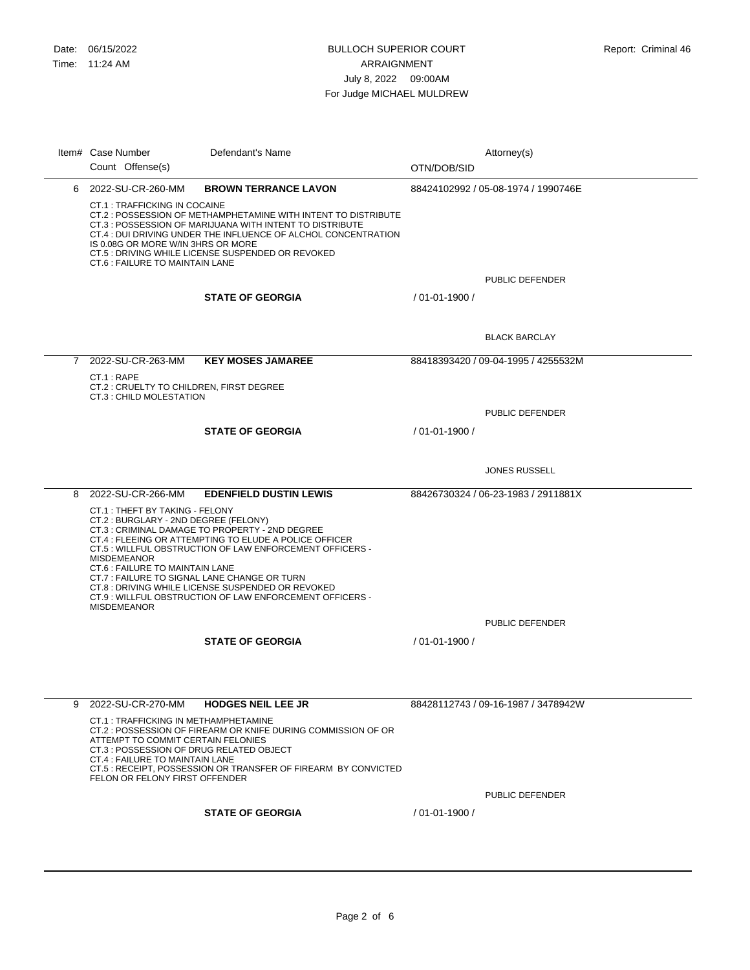$\overline{\phantom{a}}$ 

## BULLOCH SUPERIOR COURT ARRAIGNMENT July 8, 2022 09:00AM For Judge MICHAEL MULDREW

|             | Item# Case Number<br>Count Offense(s)                                                                                                                                                                                                                                                                                                                             | Defendant's Name                                                                                                                                                                                                                                                                     | OTN/DOB/SID        | Attorney(s)                         |
|-------------|-------------------------------------------------------------------------------------------------------------------------------------------------------------------------------------------------------------------------------------------------------------------------------------------------------------------------------------------------------------------|--------------------------------------------------------------------------------------------------------------------------------------------------------------------------------------------------------------------------------------------------------------------------------------|--------------------|-------------------------------------|
|             | 6 2022-SU-CR-260-MM                                                                                                                                                                                                                                                                                                                                               | <b>BROWN TERRANCE LAVON</b>                                                                                                                                                                                                                                                          |                    | 88424102992 / 05-08-1974 / 1990746E |
|             | <b>CT.1 : TRAFFICKING IN COCAINE</b><br>CT.2: POSSESSION OF METHAMPHETAMINE WITH INTENT TO DISTRIBUTE<br>CT.3 : POSSESSION OF MARIJUANA WITH INTENT TO DISTRIBUTE<br>CT.4 : DUI DRIVING UNDER THE INFLUENCE OF ALCHOL CONCENTRATION<br>IS 0.08G OR MORE W/IN 3HRS OR MORE<br>CT.5 : DRIVING WHILE LICENSE SUSPENDED OR REVOKED<br>CT.6 : FAILURE TO MAINTAIN LANE |                                                                                                                                                                                                                                                                                      |                    |                                     |
|             |                                                                                                                                                                                                                                                                                                                                                                   |                                                                                                                                                                                                                                                                                      |                    | PUBLIC DEFENDER                     |
|             |                                                                                                                                                                                                                                                                                                                                                                   | <b>STATE OF GEORGIA</b>                                                                                                                                                                                                                                                              | $/01 - 01 - 1900/$ |                                     |
|             |                                                                                                                                                                                                                                                                                                                                                                   |                                                                                                                                                                                                                                                                                      |                    | <b>BLACK BARCLAY</b>                |
| $7^{\circ}$ | 2022-SU-CR-263-MM                                                                                                                                                                                                                                                                                                                                                 | <b>KEY MOSES JAMAREE</b>                                                                                                                                                                                                                                                             |                    | 88418393420 / 09-04-1995 / 4255532M |
|             | CT.1: RAPE<br>CT.2 : CRUELTY TO CHILDREN, FIRST DEGREE<br>CT.3 : CHILD MOLESTATION                                                                                                                                                                                                                                                                                |                                                                                                                                                                                                                                                                                      |                    |                                     |
|             |                                                                                                                                                                                                                                                                                                                                                                   |                                                                                                                                                                                                                                                                                      |                    | PUBLIC DEFENDER                     |
|             |                                                                                                                                                                                                                                                                                                                                                                   | <b>STATE OF GEORGIA</b>                                                                                                                                                                                                                                                              | / 01-01-1900 /     |                                     |
|             |                                                                                                                                                                                                                                                                                                                                                                   |                                                                                                                                                                                                                                                                                      |                    | <b>JONES RUSSELL</b>                |
|             | 8 2022-SU-CR-266-MM                                                                                                                                                                                                                                                                                                                                               | <b>EDENFIELD DUSTIN LEWIS</b>                                                                                                                                                                                                                                                        |                    | 88426730324 / 06-23-1983 / 2911881X |
|             | CT.1: THEFT BY TAKING - FELONY<br>CT.2 : BURGLARY - 2ND DEGREE (FELONY)<br><b>MISDEMEANOR</b><br>CT.6 : FAILURE TO MAINTAIN LANE<br>CT.7: FAILURE TO SIGNAL LANE CHANGE OR TURN<br><b>MISDEMEANOR</b>                                                                                                                                                             | CT.3 : CRIMINAL DAMAGE TO PROPERTY - 2ND DEGREE<br>CT.4 : FLEEING OR ATTEMPTING TO ELUDE A POLICE OFFICER<br>CT.5: WILLFUL OBSTRUCTION OF LAW ENFORCEMENT OFFICERS -<br>CT.8 : DRIVING WHILE LICENSE SUSPENDED OR REVOKED<br>CT.9: WILLFUL OBSTRUCTION OF LAW ENFORCEMENT OFFICERS - |                    |                                     |
|             |                                                                                                                                                                                                                                                                                                                                                                   |                                                                                                                                                                                                                                                                                      |                    | PUBLIC DEFENDER                     |
|             |                                                                                                                                                                                                                                                                                                                                                                   | <b>STATE OF GEORGIA</b>                                                                                                                                                                                                                                                              | $/01 - 01 - 1900/$ |                                     |
|             |                                                                                                                                                                                                                                                                                                                                                                   |                                                                                                                                                                                                                                                                                      |                    |                                     |
|             | 9 2022-SU-CR-270-MM                                                                                                                                                                                                                                                                                                                                               | <b>HODGES NEIL LEE JR</b>                                                                                                                                                                                                                                                            |                    | 88428112743 / 09-16-1987 / 3478942W |
|             | CT.1 : TRAFFICKING IN METHAMPHETAMINE<br>ATTEMPT TO COMMIT CERTAIN FELONIES<br>CT.3 : POSSESSION OF DRUG RELATED OBJECT<br>CT.4 : FAILURE TO MAINTAIN LANE<br>FELON OR FELONY FIRST OFFENDER                                                                                                                                                                      | CT.2 : POSSESSION OF FIREARM OR KNIFE DURING COMMISSION OF OR<br>CT.5: RECEIPT, POSSESSION OR TRANSFER OF FIREARM BY CONVICTED                                                                                                                                                       |                    |                                     |
|             |                                                                                                                                                                                                                                                                                                                                                                   |                                                                                                                                                                                                                                                                                      |                    | PUBLIC DEFENDER                     |
|             |                                                                                                                                                                                                                                                                                                                                                                   | <b>STATE OF GEORGIA</b>                                                                                                                                                                                                                                                              | $/01 - 01 - 1900/$ |                                     |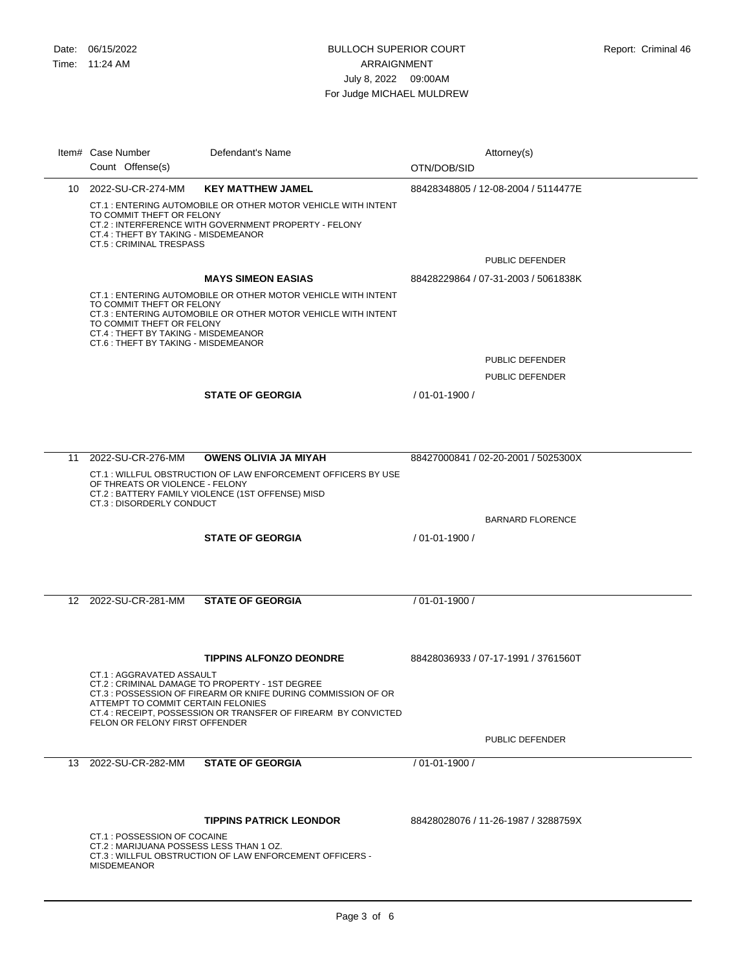| Item# Case Number<br>Count Offense(s)                                                                                                  | Defendant's Name                                                                                                                                                                  | Attorney(s)<br>OTN/DOB/SID          |
|----------------------------------------------------------------------------------------------------------------------------------------|-----------------------------------------------------------------------------------------------------------------------------------------------------------------------------------|-------------------------------------|
| 10 2022-SU-CR-274-MM                                                                                                                   | <b>KEY MATTHEW JAMEL</b>                                                                                                                                                          | 88428348805 / 12-08-2004 / 5114477E |
| TO COMMIT THEFT OR FELONY<br>CT.4 : THEFT BY TAKING - MISDEMEANOR<br>CT.5 : CRIMINAL TRESPASS                                          | CT.1 : ENTERING AUTOMOBILE OR OTHER MOTOR VEHICLE WITH INTENT<br>CT.2: INTERFERENCE WITH GOVERNMENT PROPERTY - FELONY                                                             |                                     |
|                                                                                                                                        |                                                                                                                                                                                   | PUBLIC DEFENDER                     |
|                                                                                                                                        | <b>MAYS SIMEON EASIAS</b>                                                                                                                                                         | 88428229864 / 07-31-2003 / 5061838K |
| TO COMMIT THEFT OR FELONY<br>TO COMMIT THEFT OR FELONY<br>CT.4 : THEFT BY TAKING - MISDEMEANOR<br>CT.6 : THEFT BY TAKING - MISDEMEANOR | CT.1: ENTERING AUTOMOBILE OR OTHER MOTOR VEHICLE WITH INTENT<br>CT.3 : ENTERING AUTOMOBILE OR OTHER MOTOR VEHICLE WITH INTENT                                                     |                                     |
|                                                                                                                                        |                                                                                                                                                                                   | PUBLIC DEFENDER                     |
|                                                                                                                                        |                                                                                                                                                                                   | PUBLIC DEFENDER                     |
|                                                                                                                                        | <b>STATE OF GEORGIA</b>                                                                                                                                                           | / 01-01-1900 /                      |
| 11 2022-SU-CR-276-MM                                                                                                                   | <b>OWENS OLIVIA JA MIYAH</b>                                                                                                                                                      | 88427000841 / 02-20-2001 / 5025300X |
| OF THREATS OR VIOLENCE - FELONY<br>CT.3 : DISORDERLY CONDUCT                                                                           | CT.1: WILLFUL OBSTRUCTION OF LAW ENFORCEMENT OFFICERS BY USE<br>CT.2: BATTERY FAMILY VIOLENCE (1ST OFFENSE) MISD                                                                  |                                     |
|                                                                                                                                        |                                                                                                                                                                                   | <b>BARNARD FLORENCE</b>             |
|                                                                                                                                        | <b>STATE OF GEORGIA</b>                                                                                                                                                           | / 01-01-1900 /                      |
| 12 2022-SU-CR-281-MM                                                                                                                   | <b>STATE OF GEORGIA</b>                                                                                                                                                           | / 01-01-1900 /                      |
|                                                                                                                                        | <b>TIPPINS ALFONZO DEONDRE</b>                                                                                                                                                    | 88428036933 / 07-17-1991 / 3761560T |
| CT.1 : AGGRAVATED ASSAULT<br>ATTEMPT TO COMMIT CERTAIN FELONIES<br>FELON OR FELONY FIRST OFFENDER                                      | CT.2: CRIMINAL DAMAGE TO PROPERTY - 1ST DEGREE<br>CT.3 : POSSESSION OF FIREARM OR KNIFE DURING COMMISSION OF OR<br>CT.4 : RECEIPT. POSSESSION OR TRANSFER OF FIREARM BY CONVICTED |                                     |
|                                                                                                                                        |                                                                                                                                                                                   | PUBLIC DEFENDER                     |
| 13 2022-SU-CR-282-MM                                                                                                                   | <b>STATE OF GEORGIA</b>                                                                                                                                                           | / 01-01-1900 /                      |
|                                                                                                                                        |                                                                                                                                                                                   |                                     |
|                                                                                                                                        | <b>TIPPINS PATRICK LEONDOR</b>                                                                                                                                                    | 88428028076 / 11-26-1987 / 3288759X |
| CT.1 : POSSESSION OF COCAINE<br>CT.2: MARIJUANA POSSESS LESS THAN 1 OZ.<br><b>MISDEMEANOR</b>                                          | CT.3: WILLFUL OBSTRUCTION OF LAW ENFORCEMENT OFFICERS -                                                                                                                           |                                     |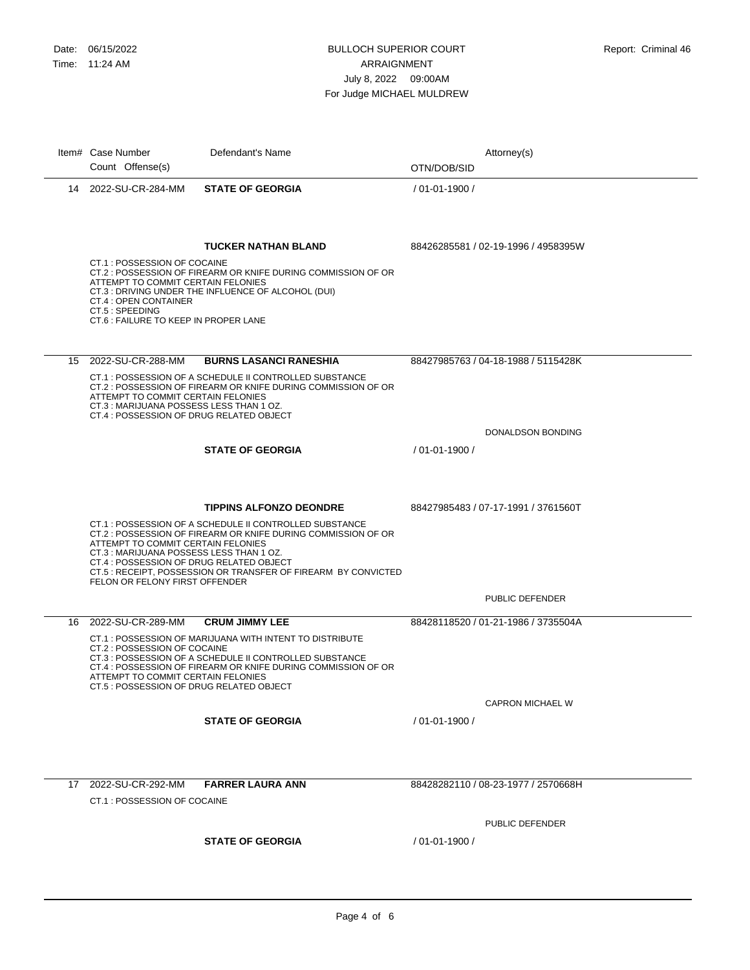|    | Item# Case Number<br>Count Offense(s)                                                                                                                       | Defendant's Name                                                                                                                                                                                                            | Attorney(s)<br>OTN/DOB/SID          |
|----|-------------------------------------------------------------------------------------------------------------------------------------------------------------|-----------------------------------------------------------------------------------------------------------------------------------------------------------------------------------------------------------------------------|-------------------------------------|
|    | 14 2022-SU-CR-284-MM                                                                                                                                        | <b>STATE OF GEORGIA</b>                                                                                                                                                                                                     | / 01-01-1900 /                      |
|    | CT.1 : POSSESSION OF COCAINE<br>ATTEMPT TO COMMIT CERTAIN FELONIES<br>CT.4 : OPEN CONTAINER<br>CT.5: SPEEDING<br>CT.6 : FAILURE TO KEEP IN PROPER LANE      | <b>TUCKER NATHAN BLAND</b><br>CT.2 : POSSESSION OF FIREARM OR KNIFE DURING COMMISSION OF OR<br>CT.3 : DRIVING UNDER THE INFLUENCE OF ALCOHOL (DUI)                                                                          | 88426285581 / 02-19-1996 / 4958395W |
|    |                                                                                                                                                             |                                                                                                                                                                                                                             |                                     |
| 15 | 2022-SU-CR-288-MM<br>ATTEMPT TO COMMIT CERTAIN FELONIES<br>CT.3: MARIJUANA POSSESS LESS THAN 1 OZ.<br>CT.4 : POSSESSION OF DRUG RELATED OBJECT              | <b>BURNS LASANCI RANESHIA</b><br>CT.1: POSSESSION OF A SCHEDULE II CONTROLLED SUBSTANCE<br>CT.2 : POSSESSION OF FIREARM OR KNIFE DURING COMMISSION OF OR                                                                    | 88427985763 / 04-18-1988 / 5115428K |
|    |                                                                                                                                                             |                                                                                                                                                                                                                             | DONALDSON BONDING                   |
|    |                                                                                                                                                             | <b>STATE OF GEORGIA</b>                                                                                                                                                                                                     | / 01-01-1900 /                      |
|    | ATTEMPT TO COMMIT CERTAIN FELONIES<br>CT.3: MARIJUANA POSSESS LESS THAN 1 OZ.<br>CT.4 : POSSESSION OF DRUG RELATED OBJECT<br>FELON OR FELONY FIRST OFFENDER | <b>TIPPINS ALFONZO DEONDRE</b><br>CT.1: POSSESSION OF A SCHEDULE II CONTROLLED SUBSTANCE<br>CT.2 : POSSESSION OF FIREARM OR KNIFE DURING COMMISSION OF OR<br>CT.5 : RECEIPT, POSSESSION OR TRANSFER OF FIREARM BY CONVICTED | 88427985483 / 07-17-1991 / 3761560T |
|    |                                                                                                                                                             |                                                                                                                                                                                                                             | PUBLIC DEFENDER                     |
| 16 | 2022-SU-CR-289-MM                                                                                                                                           | <b>CRUM JIMMY LEE</b>                                                                                                                                                                                                       | 88428118520 / 01-21-1986 / 3735504A |
|    | CT.2 : POSSESSION OF COCAINE<br>ATTEMPT TO COMMIT CERTAIN FELONIES<br>CT.5 : POSSESSION OF DRUG RELATED OBJECT                                              | CT.1: POSSESSION OF MARIJUANA WITH INTENT TO DISTRIBUTE<br>CT.3 : POSSESSION OF A SCHEDULE II CONTROLLED SUBSTANCE<br>CT.4 : POSSESSION OF FIREARM OR KNIFE DURING COMMISSION OF OR                                         | <b>CAPRON MICHAEL W</b>             |
|    |                                                                                                                                                             | <b>STATE OF GEORGIA</b>                                                                                                                                                                                                     | / 01-01-1900 /                      |
|    |                                                                                                                                                             |                                                                                                                                                                                                                             |                                     |
|    | 17 2022-SU-CR-292-MM                                                                                                                                        | <b>FARRER LAURA ANN</b>                                                                                                                                                                                                     | 88428282110 / 08-23-1977 / 2570668H |
|    | CT.1: POSSESSION OF COCAINE                                                                                                                                 |                                                                                                                                                                                                                             |                                     |
|    |                                                                                                                                                             |                                                                                                                                                                                                                             | PUBLIC DEFENDER                     |
|    |                                                                                                                                                             | <b>STATE OF GEORGIA</b>                                                                                                                                                                                                     | $/01 - 01 - 1900/$                  |
|    |                                                                                                                                                             |                                                                                                                                                                                                                             |                                     |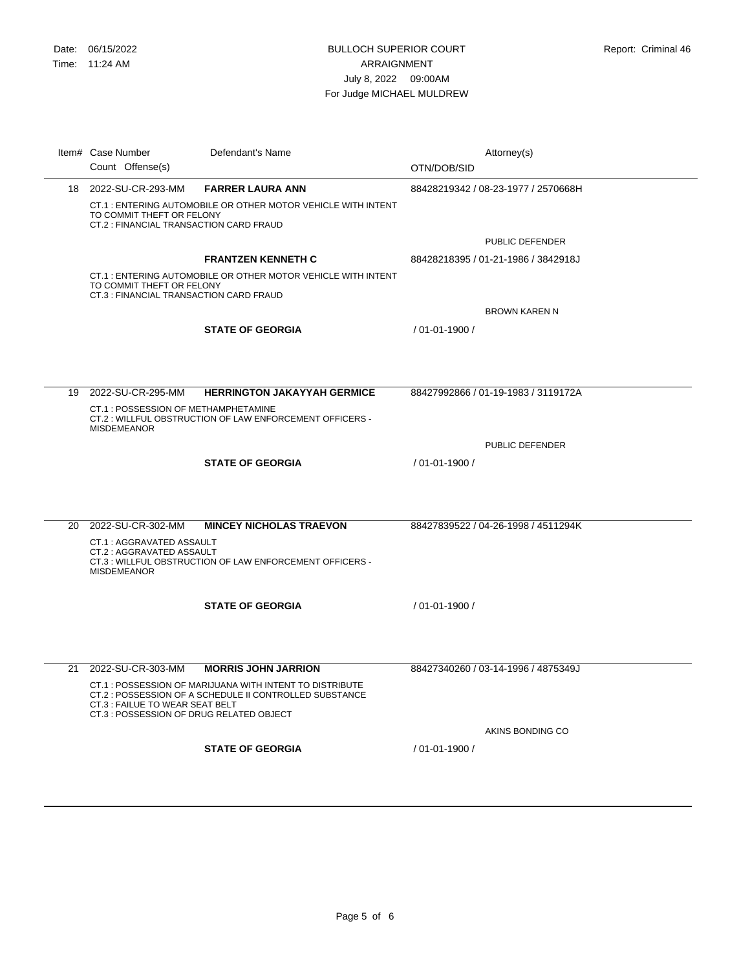|    | Item# Case Number                                                           | Defendant's Name                                                                                                   | Attorney(s)                         |
|----|-----------------------------------------------------------------------------|--------------------------------------------------------------------------------------------------------------------|-------------------------------------|
|    | Count Offense(s)                                                            |                                                                                                                    | OTN/DOB/SID                         |
|    | 18 2022-SU-CR-293-MM                                                        | <b>FARRER LAURA ANN</b>                                                                                            | 88428219342 / 08-23-1977 / 2570668H |
|    | TO COMMIT THEFT OR FELONY<br>CT.2 : FINANCIAL TRANSACTION CARD FRAUD        | CT.1: ENTERING AUTOMOBILE OR OTHER MOTOR VEHICLE WITH INTENT                                                       |                                     |
|    |                                                                             |                                                                                                                    | PUBLIC DEFENDER                     |
|    |                                                                             | <b>FRANTZEN KENNETH C</b>                                                                                          | 88428218395 / 01-21-1986 / 3842918J |
|    | TO COMMIT THEFT OR FELONY<br>CT.3 : FINANCIAL TRANSACTION CARD FRAUD        | CT.1: ENTERING AUTOMOBILE OR OTHER MOTOR VEHICLE WITH INTENT                                                       |                                     |
|    |                                                                             |                                                                                                                    | <b>BROWN KAREN N</b>                |
|    |                                                                             | <b>STATE OF GEORGIA</b>                                                                                            | / 01-01-1900 /                      |
|    |                                                                             |                                                                                                                    |                                     |
|    |                                                                             |                                                                                                                    |                                     |
| 19 | 2022-SU-CR-295-MM                                                           | <b>HERRINGTON JAKAYYAH GERMICE</b>                                                                                 | 88427992866 / 01-19-1983 / 3119172A |
|    | CT.1 : POSSESSION OF METHAMPHETAMINE<br><b>MISDEMEANOR</b>                  | CT.2: WILLFUL OBSTRUCTION OF LAW ENFORCEMENT OFFICERS -                                                            |                                     |
|    |                                                                             |                                                                                                                    | <b>PUBLIC DEFENDER</b>              |
|    |                                                                             | <b>STATE OF GEORGIA</b>                                                                                            | / 01-01-1900 /                      |
|    |                                                                             |                                                                                                                    |                                     |
| 20 | 2022-SU-CR-302-MM                                                           | <b>MINCEY NICHOLAS TRAEVON</b>                                                                                     | 88427839522 / 04-26-1998 / 4511294K |
|    | CT.1: AGGRAVATED ASSAULT                                                    |                                                                                                                    |                                     |
|    | CT.2: AGGRAVATED ASSAULT<br><b>MISDEMEANOR</b>                              | CT.3 : WILLFUL OBSTRUCTION OF LAW ENFORCEMENT OFFICERS -                                                           |                                     |
|    |                                                                             | <b>STATE OF GEORGIA</b>                                                                                            | / 01-01-1900 /                      |
|    |                                                                             |                                                                                                                    |                                     |
|    |                                                                             |                                                                                                                    |                                     |
|    |                                                                             |                                                                                                                    |                                     |
| 21 | 2022-SU-CR-303-MM                                                           | <b>MORRIS JOHN JARRION</b>                                                                                         | 88427340260 / 03-14-1996 / 4875349J |
|    | CT.3 : FAILUE TO WEAR SEAT BELT<br>CT.3 : POSSESSION OF DRUG RELATED OBJECT | CT.1: POSSESSION OF MARIJUANA WITH INTENT TO DISTRIBUTE<br>CT.2 : POSSESSION OF A SCHEDULE II CONTROLLED SUBSTANCE |                                     |
|    |                                                                             |                                                                                                                    | AKINS BONDING CO                    |
|    |                                                                             | <b>STATE OF GEORGIA</b>                                                                                            | / 01-01-1900 /                      |
|    |                                                                             |                                                                                                                    |                                     |
|    |                                                                             |                                                                                                                    |                                     |